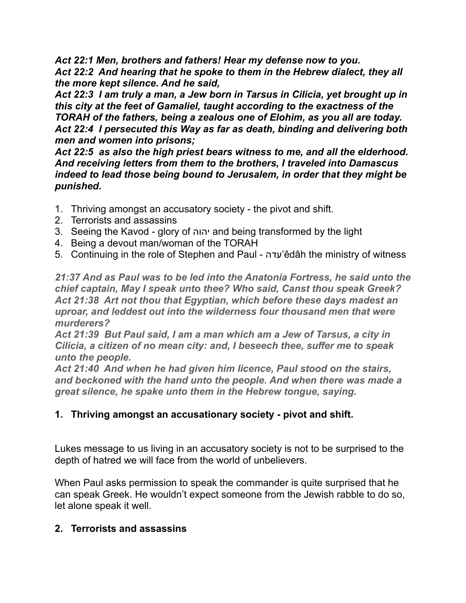*Act 22:1 Men, brothers and fathers! Hear my defense now to you. Act 22:2 And hearing that he spoke to them in the Hebrew dialect, they all* 

*the more kept silence. And he said, Act 22:3 I am truly a man, a Jew born in Tarsus in Cilicia, yet brought up in this city at the feet of Gamaliel, taught according to the exactness of the TORAH of the fathers, being a zealous one of Elohim, as you all are today. Act 22:4 I persecuted this Way as far as death, binding and delivering both men and women into prisons;* 

*Act 22:5 as also the high priest bears witness to me, and all the elderhood. And receiving letters from them to the brothers, I traveled into Damascus indeed to lead those being bound to Jerusalem, in order that they might be punished.* 

- 1. Thriving amongst an accusatory society the pivot and shift.
- 2. Terrorists and assassins
- 3. Seeing the Kavod glory of יהוה and being transformed by the light
- 4. Being a devout man/woman of the TORAH
- 5. Continuing in the role of Stephen and Paul עדה'êdâh the ministry of witness

*21:37 And as Paul was to be led into the Anatonia Fortress, he said unto the chief captain, May I speak unto thee? Who said, Canst thou speak Greek? [Act 21:38](verseid:44.21.38) Art not thou that Egyptian, which before these days madest an uproar, and leddest out into the wilderness four thousand men that were murderers?* 

*[Act 21:39](verseid:44.21.39) But Paul said, I am a man which am a Jew of Tarsus, a city in Cilicia, a citizen of no mean city: and, I beseech thee, suffer me to speak unto the people.* 

*[Act 21:40](verseid:44.21.40) And when he had given him licence, Paul stood on the stairs, and beckoned with the hand unto the people. And when there was made a great silence, he spake unto them in the Hebrew tongue, saying.* 

## **1. Thriving amongst an accusationary society - pivot and shift.**

Lukes message to us living in an accusatory society is not to be surprised to the depth of hatred we will face from the world of unbelievers.

When Paul asks permission to speak the commander is quite surprised that he can speak Greek. He wouldn't expect someone from the Jewish rabble to do so, let alone speak it well.

## **2. Terrorists and assassins**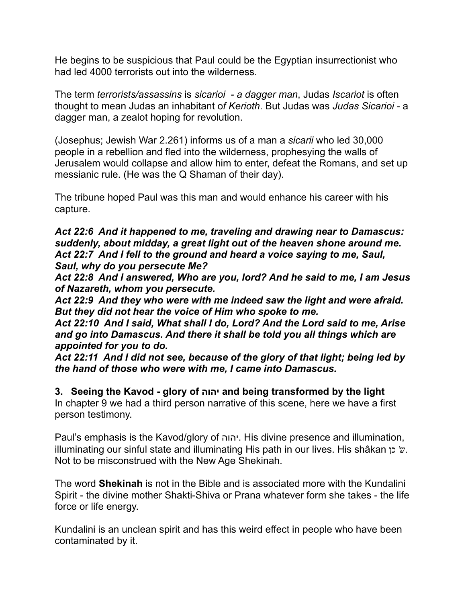He begins to be suspicious that Paul could be the Egyptian insurrectionist who had led 4000 terrorists out into the wilderness.

The term *terrorists/assassins* is *sicarioi - a dagger man*, Judas *Iscariot* is often thought to mean Judas an inhabitant o*f Kerioth*. But Judas was *Judas Sicarioi* - a dagger man, a zealot hoping for revolution.

(Josephus; Jewish War 2.261) informs us of a man a *sicarii* who led 30,000 people in a rebellion and fled into the wilderness, prophesying the walls of Jerusalem would collapse and allow him to enter, defeat the Romans, and set up messianic rule. (He was the Q Shaman of their day).

The tribune hoped Paul was this man and would enhance his career with his capture.

*Act 22:6 And it happened to me, traveling and drawing near to Damascus: suddenly, about midday, a great light out of the heaven shone around me. Act 22:7 And I fell to the ground and heard a voice saying to me, Saul, Saul, why do you persecute Me?* 

*Act 22:8 And I answered, Who are you, lord? And he said to me, I am Jesus of Nazareth, whom you persecute.* 

*Act 22:9 And they who were with me indeed saw the light and were afraid. But they did not hear the voice of Him who spoke to me.* 

*Act 22:10 And I said, What shall I do, Lord? And the Lord said to me, Arise and go into Damascus. And there it shall be told you all things which are appointed for you to do.* 

*Act 22:11 And I did not see, because of the glory of that light; being led by the hand of those who were with me, I came into Damascus.* 

**3. Seeing the Kavod - glory of יהוה and being transformed by the light** In chapter 9 we had a third person narrative of this scene, here we have a first person testimony.

Paul's emphasis is the Kavod/glory of יהוה. His divine presence and illumination, illuminating our sinful state and illuminating His path in our lives. His shâkan עֹ Not to be misconstrued with the New Age Shekinah.

The word **Shekinah** is not in the Bible and is associated more with the Kundalini Spirit - the divine mother Shakti-Shiva or Prana whatever form she takes - the life force or life energy.

Kundalini is an unclean spirit and has this weird effect in people who have been contaminated by it.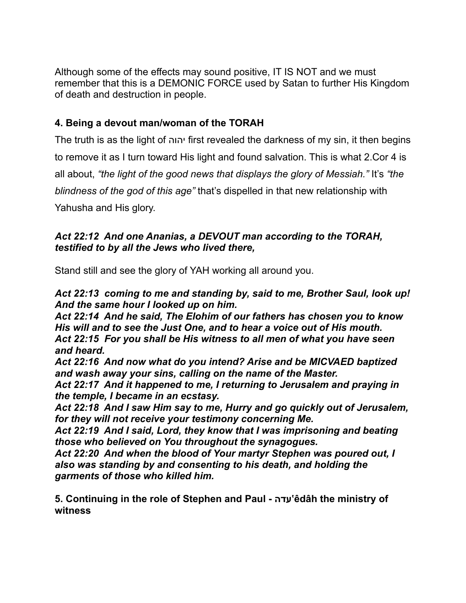Although some of the effects may sound positive, IT IS NOT and we must remember that this is a DEMONIC FORCE used by Satan to further His Kingdom of death and destruction in people.

# **4. Being a devout man/woman of the TORAH**

The truth is as the light of יהוה first revealed the darkness of my sin, it then begins to remove it as I turn toward His light and found salvation. This is what 2.Cor 4 is all about, *"the light of the good news that displays the glory of Messiah."* It's *"the blindness of the god of this age"* that's dispelled in that new relationship with Yahusha and His glory.

### *Act 22:12 And one Ananias, a DEVOUT man according to the TORAH, testified to by all the Jews who lived there,*

Stand still and see the glory of YAH working all around you.

*Act 22:13 coming to me and standing by, said to me, Brother Saul, look up! And the same hour I looked up on him.* 

*Act 22:14 And he said, The Elohim of our fathers has chosen you to know His will and to see the Just One, and to hear a voice out of His mouth. Act 22:15 For you shall be His witness to all men of what you have seen and heard.* 

*Act 22:16 And now what do you intend? Arise and be MICVAED baptized and wash away your sins, calling on the name of the Master.* 

*Act 22:17 And it happened to me, I returning to Jerusalem and praying in the temple, I became in an ecstasy.* 

*Act 22:18 And I saw Him say to me, Hurry and go quickly out of Jerusalem, for they will not receive your testimony concerning Me.* 

*Act 22:19 And I said, Lord, they know that I was imprisoning and beating those who believed on You throughout the synagogues.* 

*Act 22:20 And when the blood of Your martyr Stephen was poured out, I also was standing by and consenting to his death, and holding the garments of those who killed him.* 

**5. Continuing in the role of Stephen and Paul - עדה'êdâh the ministry of witness**